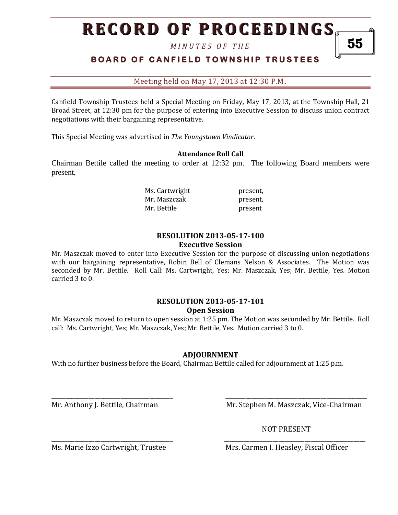# **RECORD OF PROCEEDINGS**

*M I N U T E S O F T H E* 

## **BOARD OF CANFIELD TOWNSHIP TRUSTEES**

Meeting held on May 17, 2013 at 12:30 P.M**.**

Canfield Township Trustees held a Special Meeting on Friday, May 17, 2013, at the Township Hall, 21 Broad Street, at 12:30 pm for the purpose of entering into Executive Session to discuss union contract negotiations with their bargaining representative.

This Special Meeting was advertised in *The Youngstown Vindicator*.

#### **Attendance Roll Call**

Chairman Bettile called the meeting to order at 12:32 pm. The following Board members were present,

> Ms. Cartwright present, Mr. Maszczak **present**, Mr. Bettile **present**

#### **RESOLUTION 2013-05-17-100 Executive Session**

Mr. Maszczak moved to enter into Executive Session for the purpose of discussing union negotiations with our bargaining representative, Robin Bell of Clemans Nelson & Associates. The Motion was seconded by Mr. Bettile. Roll Call: Ms. Cartwright, Yes; Mr. Maszczak, Yes; Mr. Bettile, Yes. Motion carried 3 to 0.

#### **RESOLUTION 2013-05-17-101 Open Session**

Mr. Maszczak moved to return to open session at 1:25 pm. The Motion was seconded by Mr. Bettile. Roll call: Ms. Cartwright, Yes; Mr. Maszczak, Yes; Mr. Bettile, Yes. Motion carried 3 to 0.

### **ADJOURNMENT**

\_\_\_\_\_\_\_\_\_\_\_\_\_\_\_\_\_\_\_\_\_\_\_\_\_\_\_\_\_\_\_\_\_\_\_\_\_\_\_\_\_\_ \_\_\_\_\_\_\_\_\_\_\_\_\_\_\_\_\_\_\_\_\_\_\_\_\_\_\_\_\_\_\_\_\_\_\_\_\_\_\_\_\_\_\_\_\_\_\_\_\_

\_\_\_\_\_\_\_\_\_\_\_\_\_\_\_\_\_\_\_\_\_\_\_\_\_\_\_\_\_\_\_\_\_\_\_\_\_\_\_\_\_\_ \_\_\_\_\_\_\_\_\_\_\_\_\_\_\_\_\_\_\_\_\_\_\_\_\_\_\_\_\_\_\_\_\_\_\_\_\_\_\_\_\_\_\_\_\_\_\_\_\_

With no further business before the Board, Chairman Bettile called for adjournment at 1:25 p.m.

Mr. Anthony J. Bettile, Chairman Mr. Stephen M. Maszczak, Vice-Chairman

NOT PRESENT

Ms. Marie Izzo Cartwright, Trustee Mrs. Carmen I. Heasley, Fiscal Officer

55